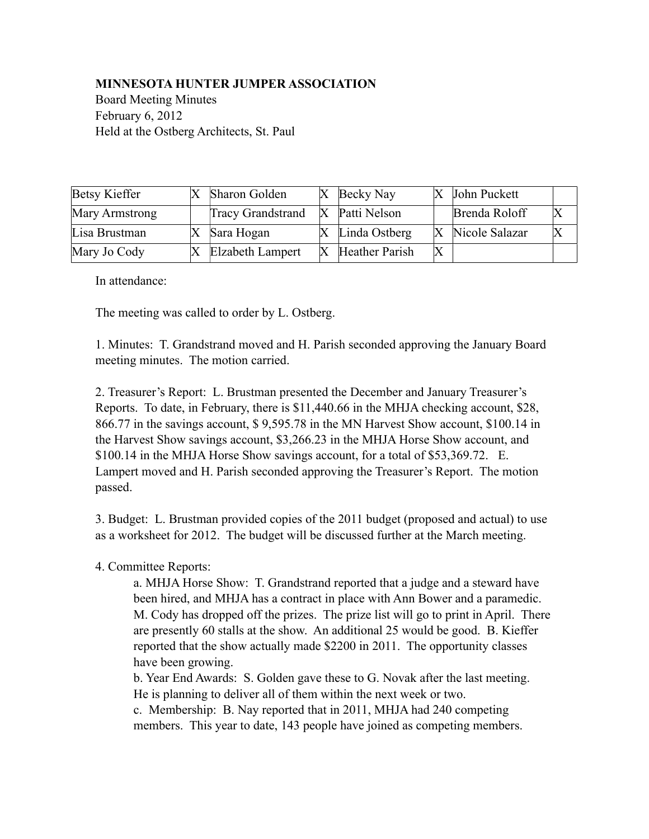## **MINNESOTA HUNTER JUMPER ASSOCIATION**

Board Meeting Minutes February 6, 2012 Held at the Ostberg Architects, St. Paul

| Betsy Kieffer  | Sharon Golden            |     | $ X $ Becky Nay             |                           | John Puckett   |  |
|----------------|--------------------------|-----|-----------------------------|---------------------------|----------------|--|
| Mary Armstrong | <b>Tracy Grandstrand</b> | IX. | Patti Nelson                |                           | Brenda Roloff  |  |
| Lisa Brustman  | Sara Hogan               |     | $X$ Linda Ostberg           | $\mathbf X$               | Nicole Salazar |  |
| Mary Jo Cody   | Elzabeth Lampert         |     | $\mathbf{X}$ Heather Parish | $\boldsymbol{\mathrm{X}}$ |                |  |

In attendance:

The meeting was called to order by L. Ostberg.

1. Minutes: T. Grandstrand moved and H. Parish seconded approving the January Board meeting minutes. The motion carried.

2. Treasurer's Report: L. Brustman presented the December and January Treasurer's Reports. To date, in February, there is \$11,440.66 in the MHJA checking account, \$28, 866.77 in the savings account, \$ 9,595.78 in the MN Harvest Show account, \$100.14 in the Harvest Show savings account, \$3,266.23 in the MHJA Horse Show account, and \$100.14 in the MHJA Horse Show savings account, for a total of \$53,369.72. E. Lampert moved and H. Parish seconded approving the Treasurer's Report. The motion passed.

3. Budget: L. Brustman provided copies of the 2011 budget (proposed and actual) to use as a worksheet for 2012. The budget will be discussed further at the March meeting.

## 4. Committee Reports:

 a. MHJA Horse Show: T. Grandstrand reported that a judge and a steward have been hired, and MHJA has a contract in place with Ann Bower and a paramedic. M. Cody has dropped off the prizes. The prize list will go to print in April. There are presently 60 stalls at the show. An additional 25 would be good. B. Kieffer reported that the show actually made \$2200 in 2011. The opportunity classes have been growing.

 b. Year End Awards: S. Golden gave these to G. Novak after the last meeting. He is planning to deliver all of them within the next week or two.

 c. Membership: B. Nay reported that in 2011, MHJA had 240 competing members. This year to date, 143 people have joined as competing members.